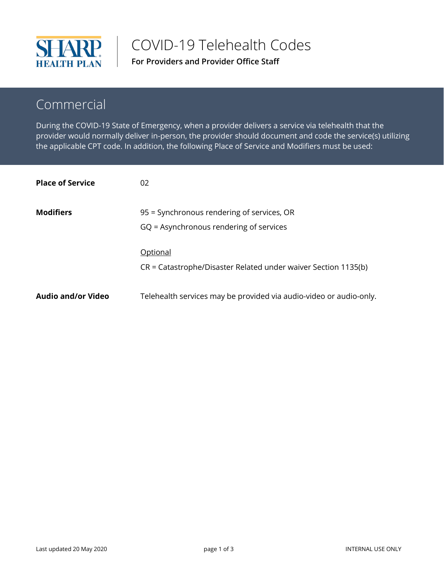

COVID-19 Telehealth Codes

**For Providers and Provider Office Staff**

## Commercial

During the COVID-19 State of Emergency, when a provider delivers a service via telehealth that the provider would normally deliver in-person, the provider should document and code the service(s) utilizing the applicable CPT code. In addition, the following Place of Service and Modifiers must be used:

| <b>Place of Service</b>   | 02                                                                                    |
|---------------------------|---------------------------------------------------------------------------------------|
| <b>Modifiers</b>          | 95 = Synchronous rendering of services, OR<br>GQ = Asynchronous rendering of services |
|                           | Optional<br>CR = Catastrophe/Disaster Related under waiver Section 1135(b)            |
| <b>Audio and/or Video</b> | Telehealth services may be provided via audio-video or audio-only.                    |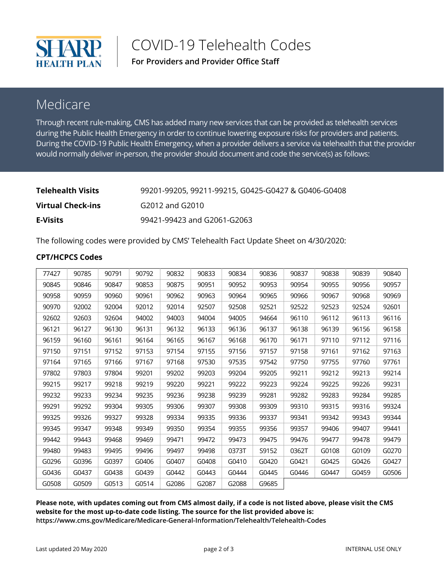

COVID-19 Telehealth Codes

**For Providers and Provider Office Staff**

## Medicare

Through recent rule-making, CMS has added many new services that can be provided as telehealth services during the Public Health Emergency in order to continue lowering exposure risks for providers and patients. During the COVID-19 Public Health Emergency, when a provider delivers a service via telehealth that the provider would normally deliver in-person, the provider should document and code the service(s) as follows:

| <b>Telehealth Visits</b> | 99201-99205, 99211-99215, G0425-G0427 & G0406-G0408 |
|--------------------------|-----------------------------------------------------|
| Virtual Check-ins        | G2012 and G2010                                     |
| <b>E-Visits</b>          | 99421-99423 and G2061-G2063                         |

The following codes were provided by CMS' Telehealth Fact Update Sheet on 4/30/2020:

## **CPT/HCPCS Codes**

| 77427 | 90785 | 90791 | 90792 | 90832 | 90833 | 90834 | 90836 | 90837 | 90838 | 90839 | 90840 |
|-------|-------|-------|-------|-------|-------|-------|-------|-------|-------|-------|-------|
| 90845 | 90846 | 90847 | 90853 | 90875 | 90951 | 90952 | 90953 | 90954 | 90955 | 90956 | 90957 |
| 90958 | 90959 | 90960 | 90961 | 90962 | 90963 | 90964 | 90965 | 90966 | 90967 | 90968 | 90969 |
| 90970 | 92002 | 92004 | 92012 | 92014 | 92507 | 92508 | 92521 | 92522 | 92523 | 92524 | 92601 |
| 92602 | 92603 | 92604 | 94002 | 94003 | 94004 | 94005 | 94664 | 96110 | 96112 | 96113 | 96116 |
| 96121 | 96127 | 96130 | 96131 | 96132 | 96133 | 96136 | 96137 | 96138 | 96139 | 96156 | 96158 |
| 96159 | 96160 | 96161 | 96164 | 96165 | 96167 | 96168 | 96170 | 96171 | 97110 | 97112 | 97116 |
| 97150 | 97151 | 97152 | 97153 | 97154 | 97155 | 97156 | 97157 | 97158 | 97161 | 97162 | 97163 |
| 97164 | 97165 | 97166 | 97167 | 97168 | 97530 | 97535 | 97542 | 97750 | 97755 | 97760 | 97761 |
| 97802 | 97803 | 97804 | 99201 | 99202 | 99203 | 99204 | 99205 | 99211 | 99212 | 99213 | 99214 |
| 99215 | 99217 | 99218 | 99219 | 99220 | 99221 | 99222 | 99223 | 99224 | 99225 | 99226 | 99231 |
| 99232 | 99233 | 99234 | 99235 | 99236 | 99238 | 99239 | 99281 | 99282 | 99283 | 99284 | 99285 |
| 99291 | 99292 | 99304 | 99305 | 99306 | 99307 | 99308 | 99309 | 99310 | 99315 | 99316 | 99324 |
| 99325 | 99326 | 99327 | 99328 | 99334 | 99335 | 99336 | 99337 | 99341 | 99342 | 99343 | 99344 |
| 99345 | 99347 | 99348 | 99349 | 99350 | 99354 | 99355 | 99356 | 99357 | 99406 | 99407 | 99441 |
| 99442 | 99443 | 99468 | 99469 | 99471 | 99472 | 99473 | 99475 | 99476 | 99477 | 99478 | 99479 |
| 99480 | 99483 | 99495 | 99496 | 99497 | 99498 | 0373T | S9152 | 0362T | G0108 | G0109 | G0270 |
| G0296 | G0396 | G0397 | G0406 | G0407 | G0408 | G0410 | G0420 | G0421 | G0425 | G0426 | G0427 |
| G0436 | G0437 | G0438 | G0439 | G0442 | G0443 | G0444 | G0445 | G0446 | G0447 | G0459 | G0506 |
| G0508 | G0509 | G0513 | G0514 | G2086 | G2087 | G2088 | G9685 |       |       |       |       |

**Please note, with updates coming out from CMS almost daily, if a code is not listed above, please visit the CMS website for the most up-to-date code listing. The source for the list provided above is: <https://www.cms.gov/Medicare/Medicare-General-Information/Telehealth/Telehealth-Codes>**